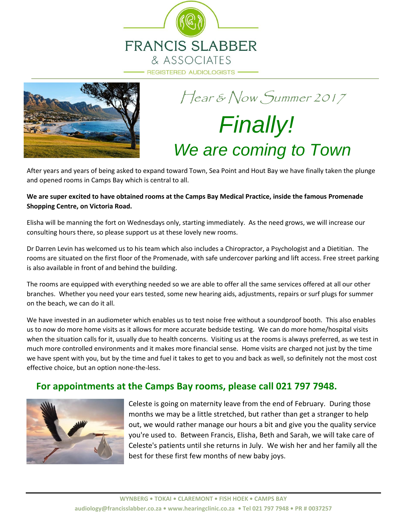



# Hear & Now Summer 2017 *Finally! We are coming to Town*

After years and years of being asked to expand toward Town, Sea Point and Hout Bay we have finally taken the plunge and opened rooms in Camps Bay which is central to all.

#### **We are super excited to have obtained rooms at the Camps Bay Medical Practice, inside the famous Promenade Shopping Centre, on Victoria Road.**

Elisha will be manning the fort on Wednesdays only, starting immediately. As the need grows, we will increase our consulting hours there, so please support us at these lovely new rooms.

Dr Darren Levin has welcomed us to his team which also includes a Chiropractor, a Psychologist and a Dietitian. The rooms are situated on the first floor of the Promenade, with safe undercover parking and lift access. Free street parking is also available in front of and behind the building.

The rooms are equipped with everything needed so we are able to offer all the same services offered at all our other branches. Whether you need your ears tested, some new hearing aids, adjustments, repairs or surf plugs for summer on the beach, we can do it all.

We have invested in an audiometer which enables us to test noise free without a soundproof booth. This also enables us to now do more home visits as it allows for more accurate bedside testing. We can do more home/hospital visits when the situation calls for it, usually due to health concerns. Visiting us at the rooms is always preferred, as we test in much more controlled environments and it makes more financial sense. Home visits are charged not just by the time we have spent with you, but by the time and fuel it takes to get to you and back as well, so definitely not the most cost effective choice, but an option none-the-less.

### **For appointments at the Camps Bay rooms, please call 021 797 7948.**



Celeste is going on maternity leave from the end of February. During those months we may be a little stretched, but rather than get a stranger to help out, we would rather manage our hours a bit and give you the quality service you're used to. Between Francis, Elisha, Beth and Sarah, we will take care of Celeste's patients until she returns in July. We wish her and her family all the best for these first few months of new baby joys.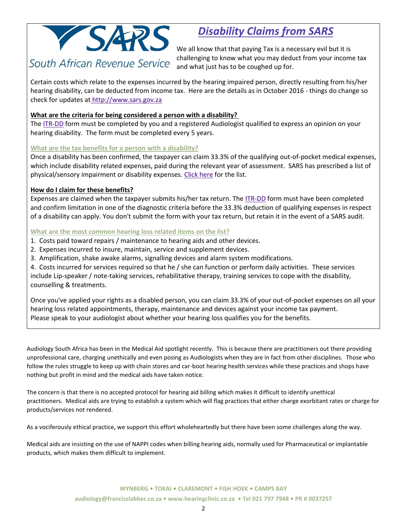

## *Disability Claims from SARS*

We all know that that paying Tax is a necessary evil but it is challenging to know what you may deduct from your income tax and what just has to be coughed up for.

Certain costs which relate to the expenses incurred by the hearing impaired person, directly resulting from his/her hearing disability, can be deducted from income tax. Here are the details as in October 2016 - things do change so check for updates a[t](http://www.sars.gov.za/ClientSegments/Individuals/Tax-Stages/Pages/Tax-and-Disability.aspx) [http://www.sars.gov.za](http://www.sars.gov.za/ClientSegments/Individuals/Tax-Stages/Pages/Tax-and-Disability.aspx)

#### **What are the criteria for being considered a person with a disability?**

The [ITR-DD](http://www.sars.gov.za/AllDocs/OpsDocs/SARSForms/ITR-DD%20-%20Confirmation%20of%20Diagnosis%20of%20Disability%20-%20External%20Form.pdf) form must be completed by you and a registered Audiologist qualified to express an opinion on your hearing disability. The form must be completed every 5 years.

#### **What are the tax benefits for a person with a disability?**

Once a disability has been confirmed, the taxpayer can claim 33.3% of the qualifying out-of-pocket medical expenses, which include disability related expenses, paid during the relevant year of assessment. SARS has prescribed a list of physical/sensory impairment or disability expenses. [Click here](http://www.sars.gov.za/AllDocs/OpsDocs/Guides/LAPD-IT-G08%20-%20List%20of%20Qualifying%20Physical%20Impairment%20or%20Disability%20Expenditure%20-%20External%20Guide.pdf) for the list.

#### **How do I claim for these benefits?**

Expenses are claimed when the taxpayer submits his/her tax return. The [ITR-DD](http://www.sars.gov.za/AllDocs/OpsDocs/SARSForms/ITR-DD%20-%20Confirmation%20of%20Diagnosis%20of%20Disability%20-%20External%20Form.pdf) form must have been completed and confirm limitation in one of the diagnostic criteria before the 33.3% deduction of qualifying expenses in respect of a disability can apply. You don't submit the form with your tax return, but retain it in the event of a SARS audit.

#### **What are the most common hearing loss related items on the list?**

- 1. Costs paid toward repairs / maintenance to hearing aids and other devices.
- 2. Expenses incurred to insure, maintain, service and supplement devices.
- 3. Amplification, shake awake alarms, signalling devices and alarm system modifications.

4. Costs incurred for services required so that he / she can function or perform daily activities. These services include Lip-speaker / note-taking services, rehabilitative therapy, training services to cope with the disability, counselling & treatments.

Once you've applied your rights as a disabled person, you can claim 33.3% of your out-of-pocket expenses on all your hearing loss related appointments, therapy, maintenance and devices against your income tax payment. Please speak to your audiologist about whether your hearing loss qualifies you for the benefits.

Audiology South Africa has been in the Medical Aid spotlight recently. This is because there are practitioners out there providing unprofessional care, charging unethically and even posing as Audiologists when they are in fact from other disciplines. Those who follow the rules struggle to keep up with chain stores and car-boot hearing health services while these practices and shops have nothing but profit in mind and the medical aids have taken notice.

The concern is that there is no accepted protocol for hearing aid billing which makes it difficult to identify unethical practitioners. Medical aids are trying to establish a system which will flag practices that either charge exorbitant rates or charge for products/services not rendered.

As a vociferously ethical practice, we support this effort wholeheartedly but there have been some challenges along the way.

Medical aids are insisting on the use of NAPPI codes when billing hearing aids, normally used for Pharmaceutical or implantable products, which makes them difficult to implement.